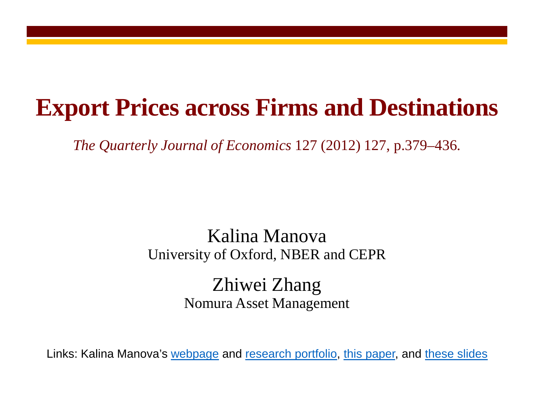## **Export Prices across Firms and Destinations**

*The Quarterly Journal of Economics* 127 (2012) 127, p.379–436.

## Kalina Manova University of Oxford, NBER and CEPR

Zhiwei Zhang Nomura Asset Management

Links: Kalina Manova's [webpage](http://users.ox.ac.uk/%7Eecon0451/index.html) and [research portfolio,](http://users.ox.ac.uk/%7Eecon0451/pubs.html) [this paper,](http://qje.oxfordjournals.org/content/127/1/379.full.pdf?keytype=ref&ijkey=q3kp8Ct7D66g61O) and [these slides](http://users.ox.ac.uk/%7Eecon0451/QJEslides.pdf)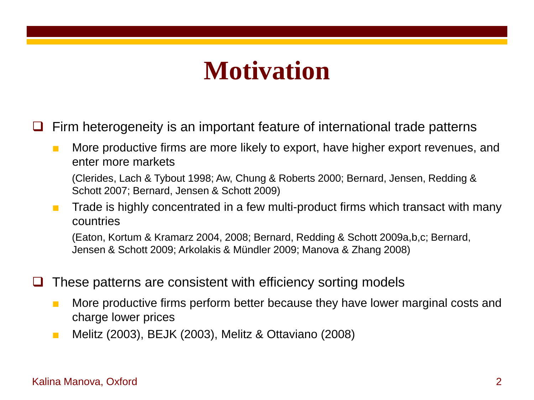## **Motivation**

Firm heterogeneity is an important feature of international trade patterns

■ More productive firms are more likely to export, have higher export revenues, and enter more markets

(Clerides, Lach & Tybout 1998; Aw, Chung & Roberts 2000; Bernard, Jensen, Redding & Schott 2007; Bernard, Jensen & Schott 2009)

■ Trade is highly concentrated in a few multi-product firms which transact with many countries

(Eaton, Kortum & Kramarz 2004, 2008; Bernard, Redding & Schott 2009a,b,c; Bernard, Jensen & Schott 2009; Arkolakis & Mündler 2009; Manova & Zhang 2008)

- These patterns are consistent with efficiency sorting models
	- More productive firms perform better because they have lower marginal costs and charge lower prices
	- Melitz (2003), BEJK (2003), Melitz & Ottaviano (2008)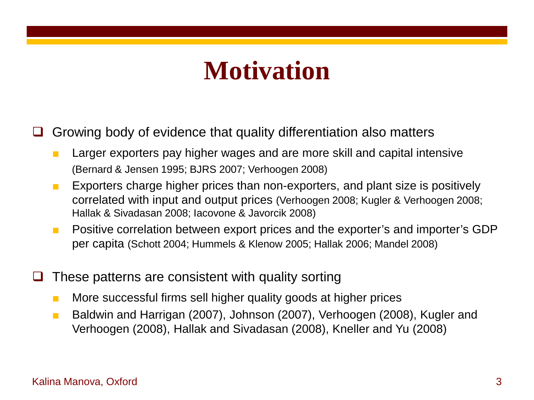## **Motivation**

 $\Box$  Growing body of evidence that quality differentiation also matters

- Larger exporters pay higher wages and are more skill and capital intensive (Bernard & Jensen 1995; BJRS 2007; Verhoogen 2008)
- Exporters charge higher prices than non-exporters, and plant size is positively correlated with input and output prices (Verhoogen 2008; Kugler & Verhoogen 2008; Hallak & Sivadasan 2008; Iacovone & Javorcik 2008)
- Positive correlation between export prices and the exporter's and importer's GDP per capita (Schott 2004; Hummels & Klenow 2005; Hallak 2006; Mandel 2008)
- These patterns are consistent with quality sorting
	- More successful firms sell higher quality goods at higher prices
	- Baldwin and Harrigan (2007), Johnson (2007), Verhoogen (2008), Kugler and Verhoogen (2008), Hallak and Sivadasan (2008), Kneller and Yu (2008)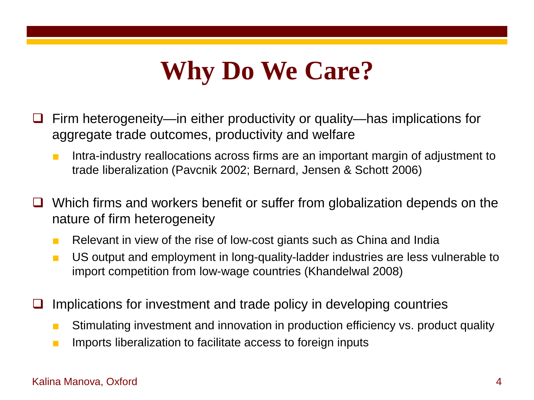# **Why Do We Care?**

- Firm heterogeneity—in either productivity or quality—has implications for aggregate trade outcomes, productivity and welfare
	- Intra-industry reallocations across firms are an important margin of adjustment to trade liberalization (Pavcnik 2002; Bernard, Jensen & Schott 2006)
- Which firms and workers benefit or suffer from globalization depends on the nature of firm heterogeneity
	- Relevant in view of the rise of low-cost giants such as China and India
	- US output and employment in long-quality-ladder industries are less vulnerable to import competition from low-wage countries (Khandelwal 2008)
- Implications for investment and trade policy in developing countries
	- Stimulating investment and innovation in production efficiency vs. product quality
	- Imports liberalization to facilitate access to foreign inputs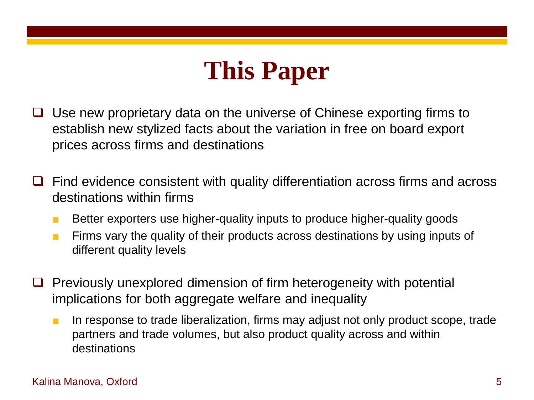## **This Paper**

- $\Box$  Use new proprietary data on the universe of Chinese exporting firms to establish new stylized facts about the variation in free on board export prices across firms and destinations
- $\Box$  Find evidence consistent with quality differentiation across firms and across destinations within firms
	- Better exporters use higher-quality inputs to produce higher-quality goods
	- Firms vary the quality of their products across destinations by using inputs of different quality levels
- $\Box$  Previously unexplored dimension of firm heterogeneity with potential implications for both aggregate welfare and inequality
	- In response to trade liberalization, firms may adjust not only product scope, trade partners and trade volumes, but also product quality across and within destinations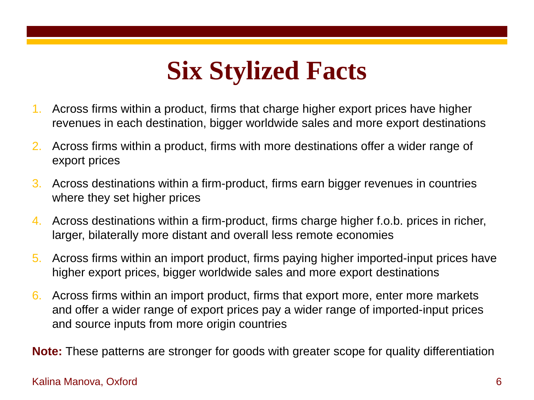# **Six Stylized Facts**

- 1. Across firms within a product, firms that charge higher export prices have higher revenues in each destination, bigger worldwide sales and more export destinations
- 2. Across firms within a product, firms with more destinations offer a wider range of export prices
- 3. Across destinations within a firm-product, firms earn bigger revenues in countries where they set higher prices
- 4. Across destinations within a firm-product, firms charge higher f.o.b. prices in richer, larger, bilaterally more distant and overall less remote economies
- 5. Across firms within an import product, firms paying higher imported-input prices have higher export prices, bigger worldwide sales and more export destinations
- 6. Across firms within an import product, firms that export more, enter more markets and offer a wider range of export prices pay a wider range of imported-input prices and source inputs from more origin countries

**Note:** These patterns are stronger for goods with greater scope for quality differentiation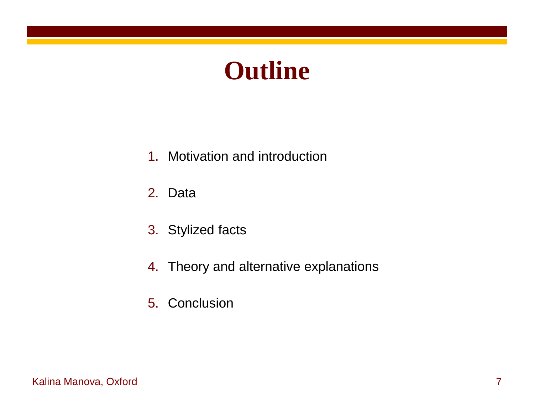## **Outline**

- 1. Motivation and introduction
- 2. Data
- 3. Stylized facts
- 4. Theory and alternative explanations
- 5. Conclusion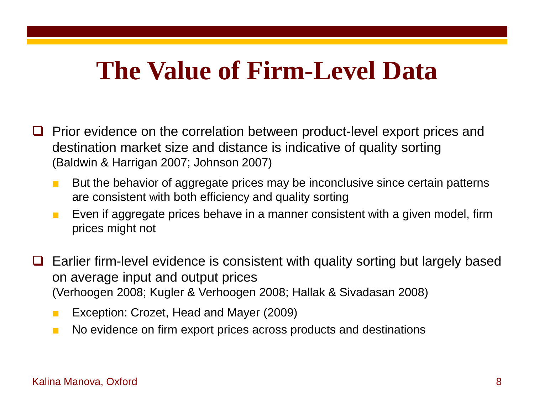## **The Value of Firm-Level Data**

- $\Box$  Prior evidence on the correlation between product-level export prices and destination market size and distance is indicative of quality sorting (Baldwin & Harrigan 2007; Johnson 2007)
	- But the behavior of aggregate prices may be inconclusive since certain patterns are consistent with both efficiency and quality sorting
	- Even if aggregate prices behave in a manner consistent with a given model, firm prices might not
- Earlier firm-level evidence is consistent with quality sorting but largely based on average input and output prices (Verhoogen 2008; Kugler & Verhoogen 2008; Hallak & Sivadasan 2008)
	- Exception: Crozet, Head and Mayer (2009)
	- No evidence on firm export prices across products and destinations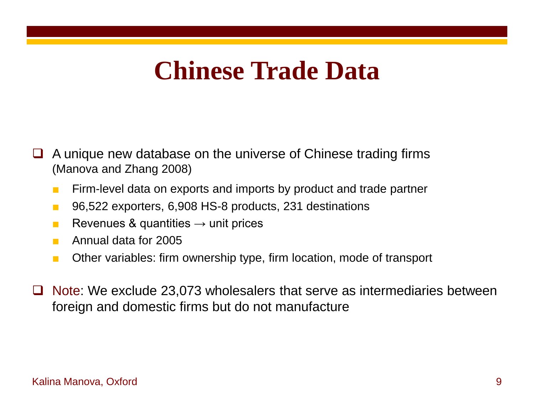## **Chinese Trade Data**

- $\Box$  A unique new database on the universe of Chinese trading firms (Manova and Zhang 2008)
	- Firm-level data on exports and imports by product and trade partner
	- 96,522 exporters, 6,908 HS-8 products, 231 destinations
	- **E** Revenues & quantities  $\rightarrow$  unit prices
	- Annual data for 2005
	- Other variables: firm ownership type, firm location, mode of transport
- Note: We exclude 23,073 wholesalers that serve as intermediaries between foreign and domestic firms but do not manufacture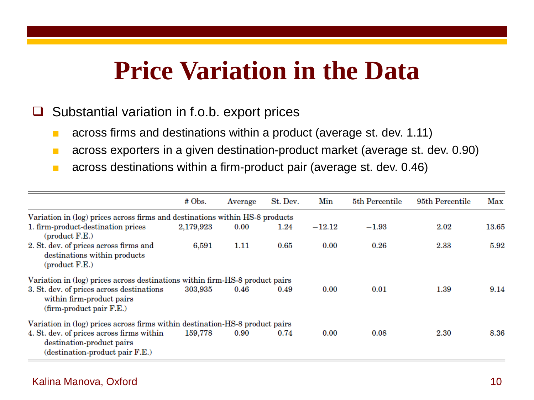## **Price Variation in the Data**

### $\Box$  Substantial variation in f.o.b. export prices

- across firms and destinations within a product (average st. dev. 1.11)
- across exporters in a given destination-product market (average st. dev. 0.90)
- across destinations within a firm-product pair (average st. dev. 0.46)

|                                                                                                           | # Obs.    | Average | St. Dev. | Min      | 5th Percentile | 95th Percentile | Max   |
|-----------------------------------------------------------------------------------------------------------|-----------|---------|----------|----------|----------------|-----------------|-------|
| Variation in (log) prices across firms and destinations within HS-8 products                              |           |         |          |          |                |                 |       |
| 1. firm-product-destination prices<br>product F.E.)                                                       | 2,179,923 | 0.00    | 1.24     | $-12.12$ | $-1.93$        | 2.02            | 13.65 |
| 2. St. dev. of prices across firms and<br>destinations within products<br>$(product F.E.)$                | 6,591     | 1.11    | 0.65     | 0.00     | 0.26           | 2.33            | 5.92  |
| Variation in (log) prices across destinations within firm-HS-8 product pairs                              |           |         |          |          |                |                 |       |
| 3. St. dev. of prices across destinations<br>within firm-product pairs<br>(firm-product pair F.E.)        | 303,935   | 0.46    | 0.49     | 0.00     | 0.01           | 1.39            | 9.14  |
| Variation in (log) prices across firms within destination-HS-8 product pairs                              |           |         |          |          |                |                 |       |
| 4. St. dev. of prices across firms within<br>destination-product pairs<br>(destination-product pair F.E.) | 159,778   | 0.90    | 0.74     | 0.00     | 0.08           | 2.30            | 8.36  |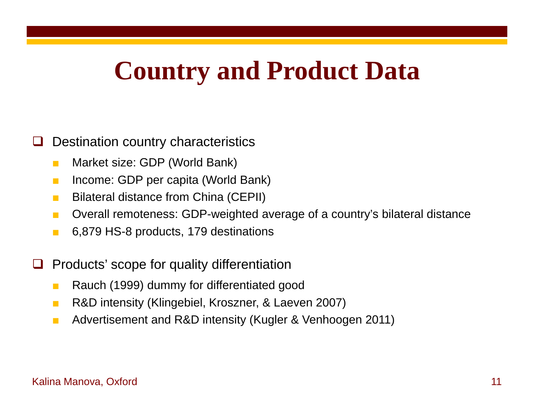## **Country and Product Data**

### Destination country characteristics

- Market size: GDP (World Bank)
- Income: GDP per capita (World Bank)
- Bilateral distance from China (CEPII)
- Overall remoteness: GDP-weighted average of a country's bilateral distance
- 6,879 HS-8 products, 179 destinations
- Products' scope for quality differentiation
	- Rauch (1999) dummy for differentiated good
	- R&D intensity (Klingebiel, Kroszner, & Laeven 2007)
	- Advertisement and R&D intensity (Kugler & Venhoogen 2011)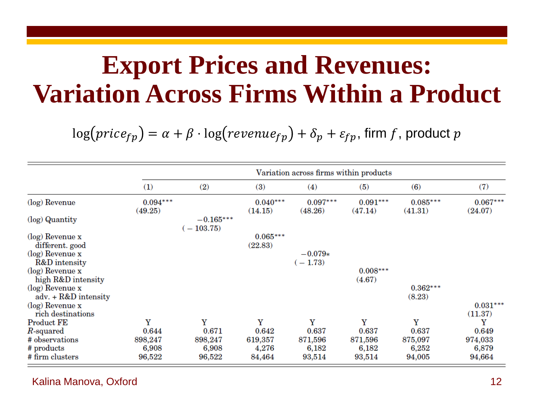## **Export Prices and Revenues: Variation Across Firms Within a Product**

 $log(price_{fp}) = \alpha + \beta \cdot log(revenue_{fp}) + \delta_p + \varepsilon_{fp}$ , firm f, product p

|                                              | Variation across firms within products |                            |                       |                        |                       |                       |                       |  |
|----------------------------------------------|----------------------------------------|----------------------------|-----------------------|------------------------|-----------------------|-----------------------|-----------------------|--|
|                                              | (1)                                    | (2)                        | (3)                   | (4)                    | (5)                   | (6)                   | (7)                   |  |
| (log) Revenue                                | $0.094***$<br>(49.25)                  |                            | $0.040***$<br>(14.15) | $0.097***$<br>(48.26)  | $0.091***$<br>(47.14) | $0.085***$<br>(41.31) | $0.067***$<br>(24.07) |  |
| (log) Quantity                               |                                        | $-0.165***$<br>$(-103.75)$ |                       |                        |                       |                       |                       |  |
| $(\log)$ Revenue x<br>different. good        |                                        |                            | $0.065***$<br>(22.83) |                        |                       |                       |                       |  |
| $(\log)$ Revenue x<br>R&D intensity          |                                        |                            |                       | $-0.079*$<br>$(-1.73)$ |                       |                       |                       |  |
| (log) Revenue x<br>high R&D intensity        |                                        |                            |                       |                        | $0.008***$<br>(4.67)  |                       |                       |  |
| $(\log)$ Revenue x<br>$adv. + R&D$ intensity |                                        |                            |                       |                        |                       | $0.362***$<br>(8.23)  |                       |  |
| $(\log)$ Revenue x<br>rich destinations      |                                        |                            |                       |                        |                       |                       | $0.031***$<br>(11.37) |  |
| <b>Product FE</b>                            | Y                                      | Y                          | Y                     | Y                      | Y                     | Y                     | Y                     |  |
| $R$ -squared                                 | 0.644                                  | 0.671                      | 0.642                 | 0.637                  | 0.637                 | 0.637                 | 0.649                 |  |
| # observations                               | 898,247                                | 898,247                    | 619,357               | 871,596                | 871,596               | 875,097               | 974,033               |  |
| # products                                   | 6,908                                  | 6,908                      | 4,276                 | 6,182                  | 6,182                 | 6,252                 | 6,879                 |  |
| # firm clusters                              | 96,522                                 | 96,522                     | 84,464                | 93,514                 | 93,514                | 94,005                | 94,664                |  |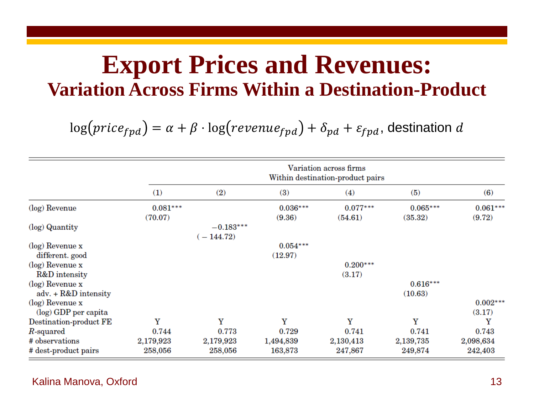## **Export Prices and Revenues: Variation Across Firms Within a Destination-Product**

 $log(price_{fpd}) = \alpha + \beta \cdot log(revenue_{fpd}) + \delta_{pd} + \varepsilon_{fpd}$ , destination d

|                        | Variation across firms<br>Within destination-product pairs |             |            |            |            |            |  |  |
|------------------------|------------------------------------------------------------|-------------|------------|------------|------------|------------|--|--|
|                        | (1)                                                        | (2)         | (3)        | (4)        | (5)        | (6)        |  |  |
| (log) Revenue          | $0.081***$                                                 |             | $0.036***$ | $0.077***$ | $0.065***$ | $0.061***$ |  |  |
|                        | (70.07)                                                    |             | (9.36)     | (54.61)    | (35.32)    | (9.72)     |  |  |
| (log) Quantity         |                                                            | $-0.183***$ |            |            |            |            |  |  |
|                        |                                                            | $-144.72$   |            |            |            |            |  |  |
| $(\log)$ Revenue x     |                                                            |             | $0.054***$ |            |            |            |  |  |
| different. good        |                                                            |             | (12.97)    |            |            |            |  |  |
| $(\log)$ Revenue x     |                                                            |             |            | $0.200***$ |            |            |  |  |
| R&D intensity          |                                                            |             |            | (3.17)     |            |            |  |  |
| $(\log)$ Revenue x     |                                                            |             |            |            | $0.616***$ |            |  |  |
| $adv. + R&D$ intensity |                                                            |             |            |            | (10.63)    |            |  |  |
| $(\log)$ Revenue x     |                                                            |             |            |            |            | $0.002***$ |  |  |
| (log) GDP per capita   |                                                            |             |            |            |            | (3.17)     |  |  |
| Destination-product FE | Y                                                          | Y           | Y          | Y          | Y          | Y          |  |  |
| $R$ -squared           | 0.744                                                      | 0.773       | 0.729      | 0.741      | 0.741      | 0.743      |  |  |
| # observations         | 2,179,923                                                  | 2,179,923   | 1,494,839  | 2,130,413  | 2,139,735  | 2,098,634  |  |  |
| # dest-product pairs   | 258,056                                                    | 258,056     | 163,873    | 247,867    | 249,874    | 242,403    |  |  |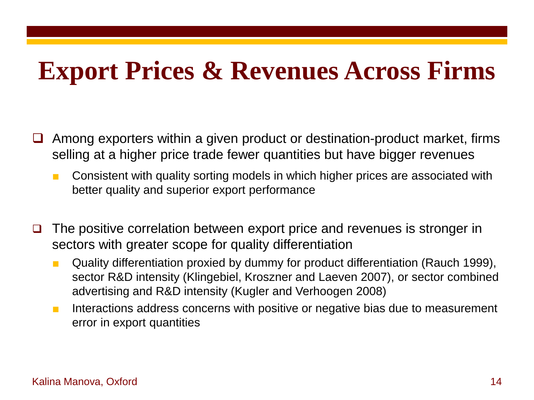## **Export Prices & Revenues Across Firms**

- Among exporters within a given product or destination-product market, firms selling at a higher price trade fewer quantities but have bigger revenues
	- Consistent with quality sorting models in which higher prices are associated with better quality and superior export performance
- $\Box$  The positive correlation between export price and revenues is stronger in sectors with greater scope for quality differentiation
	- Quality differentiation proxied by dummy for product differentiation (Rauch 1999), sector R&D intensity (Klingebiel, Kroszner and Laeven 2007), or sector combined advertising and R&D intensity (Kugler and Verhoogen 2008)
	- Interactions address concerns with positive or negative bias due to measurement error in export quantities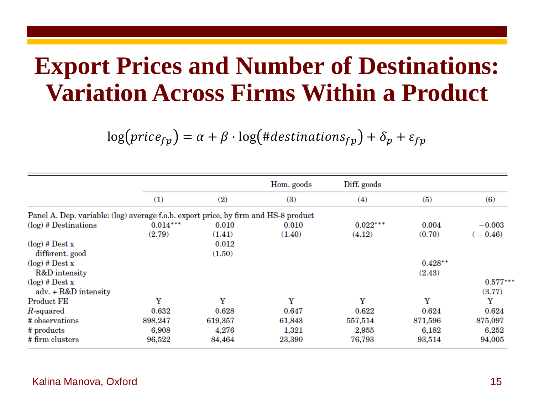## **Export Prices and Number of Destinations: Variation Across Firms Within a Product**

 $log(price_{fp}) = \alpha + \beta \cdot log(\#destinations_{fp}) + \delta_p + \varepsilon_{fp}$ 

|                                                                                     |            |         | Hom. goods | Diff. goods |           |            |
|-------------------------------------------------------------------------------------|------------|---------|------------|-------------|-----------|------------|
|                                                                                     | (1)        | (2)     | (3)        | (4)         | (5)       | (6)        |
| Panel A. Dep. variable: (log) average f.o.b. export price, by firm and HS-8 product |            |         |            |             |           |            |
| $(\log)$ # Destinations                                                             | $0.014***$ | 0.010   | 0.010      | $0.022***$  | 0.004     | $-0.003$   |
|                                                                                     | (2.79)     | (1.41)  | (1.40)     | (4.12)      | (0.70)    | $-0.46$    |
| $log$ ) # Dest x                                                                    |            | 0.012   |            |             |           |            |
| different. good                                                                     |            | (1.50)  |            |             |           |            |
| $log$ ) # Dest x                                                                    |            |         |            |             | $0.428**$ |            |
| R&D intensity                                                                       |            |         |            |             | (2.43)    |            |
| $log$ ) # Dest x                                                                    |            |         |            |             |           | $0.577***$ |
| adv. + R&D intensity                                                                |            |         |            |             |           | (3.77)     |
| <b>Product FE</b>                                                                   | Y          | Y       | Y          | Y           | Y         | Y          |
| $R$ -squared                                                                        | 0.632      | 0.628   | 0.647      | 0.622       | 0.624     | 0.624      |
| # observations                                                                      | 898,247    | 619,357 | 61,843     | 557,514     | 871,596   | 875,097    |
| # products                                                                          | 6,908      | 4,276   | 1,321      | 2,955       | 6,182     | 6,252      |
| # firm clusters                                                                     | 96,522     | 84,464  | 23,390     | 76,793      | 93,514    | 94,005     |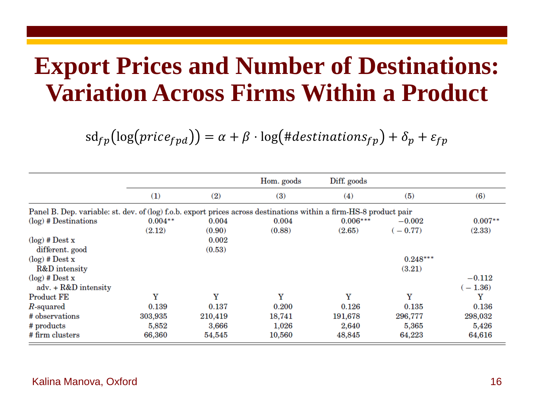## **Export Prices and Number of Destinations: Variation Across Firms Within a Product**

 $sd_{fp}(\log (price_{fpd})) = \alpha + \beta \cdot \log (#destinations_{fp}) + \delta_p + \varepsilon_{fp}$ 

|                                                                                                                    |           |         | Hom. goods | Diff. goods |            |           |
|--------------------------------------------------------------------------------------------------------------------|-----------|---------|------------|-------------|------------|-----------|
|                                                                                                                    | (1)       | (2)     | (3)        | (4)         | (5)        | (6)       |
| Panel B. Dep. variable: st. dev. of (log) f.o.b. export prices across destinations within a firm-HS-8 product pair |           |         |            |             |            |           |
| $(\log)$ # Destinations                                                                                            | $0.004**$ | 0.004   | 0.004      | $0.006***$  | $-0.002$   | $0.007**$ |
|                                                                                                                    | (2.12)    | (0.90)  | (0.88)     | (2.65)      | $-0.77$    | (2.33)    |
| $log$ ) # Dest x                                                                                                   |           | 0.002   |            |             |            |           |
| different. good                                                                                                    |           | (0.53)  |            |             |            |           |
| $log$ ) # Dest x                                                                                                   |           |         |            |             | $0.248***$ |           |
| R&D intensity                                                                                                      |           |         |            |             | (3.21)     |           |
| $log$ ) # Dest x                                                                                                   |           |         |            |             |            | $-0.112$  |
| adv. + R&D intensity                                                                                               |           |         |            |             |            | $(-1.36)$ |
| <b>Product FE</b>                                                                                                  | Y         | Y       | Y          | Y           | Y          | Y         |
| $R$ -squared                                                                                                       | 0.139     | 0.137   | 0.200      | 0.126       | 0.135      | 0.136     |
| # observations                                                                                                     | 303,935   | 210,419 | 18,741     | 191,678     | 296,777    | 298,032   |
| # products                                                                                                         | 5,852     | 3,666   | 1,026      | 2,640       | 5,365      | 5,426     |
| # firm clusters                                                                                                    | 66,360    | 54,545  | 10,560     | 48,845      | 64,223     | 64,616    |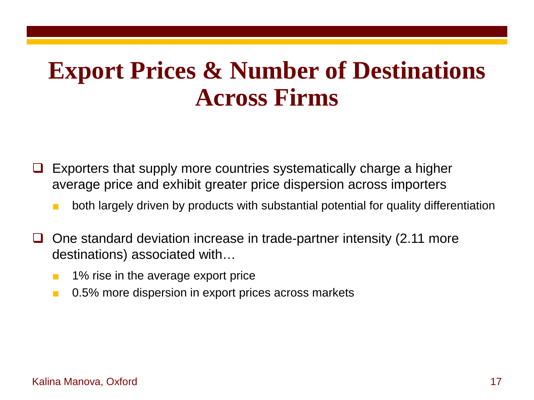## **Export Prices & Number of Destinations Across Firms**

- Exporters that supply more countries systematically charge a higher average price and exhibit greater price dispersion across importers
	- both largely driven by products with substantial potential for quality differentiation
- $\Box$  One standard deviation increase in trade-partner intensity (2.11 more destinations) associated with…
	- 1% rise in the average export price
	- 0.5% more dispersion in export prices across markets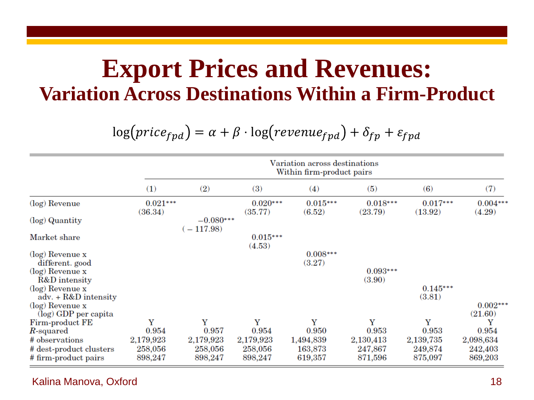## **Export Prices and Revenues: Variation Across Destinations Within a Firm-Product**

 $log(price_{fpd}) = \alpha + \beta \cdot log(revenue_{fpd}) + \delta_{fp} + \varepsilon_{fpd}$ 

|                                               | Variation across destinations<br>Within firm-product pairs |                          |                       |                      |                       |                       |                       |  |
|-----------------------------------------------|------------------------------------------------------------|--------------------------|-----------------------|----------------------|-----------------------|-----------------------|-----------------------|--|
|                                               | (1)                                                        | (2)                      | (3)                   | (4)                  | (5)                   | (6)                   | (7)                   |  |
| (log) Revenue                                 | $0.021***$<br>(36.34)                                      |                          | $0.020***$<br>(35.77) | $0.015***$<br>(6.52) | $0.018***$<br>(23.79) | $0.017***$<br>(13.92) | $0.004***$<br>(4.29)  |  |
| (log) Quantity                                |                                                            | $-0.080***$<br>$-117.98$ |                       |                      |                       |                       |                       |  |
| Market share                                  |                                                            |                          | $0.015***$<br>(4.53)  |                      |                       |                       |                       |  |
| $(\log)$ Revenue x<br>different. good         |                                                            |                          |                       | $0.008***$<br>(3.27) |                       |                       |                       |  |
| $(log)$ Revenue x<br>R&D intensity            |                                                            |                          |                       |                      | $0.093***$<br>(3.90)  |                       |                       |  |
| $(log)$ Revenue x<br>adv. $+$ R&D intensity   |                                                            |                          |                       |                      |                       | $0.145***$<br>(3.81)  |                       |  |
| $(\log)$ Revenue x<br>$(\log)$ GDP per capita |                                                            |                          |                       |                      |                       |                       | $0.002***$<br>(21.60) |  |
| Firm-product FE                               | Y                                                          | Y                        | Y                     | Y                    | Y                     | Y                     | Y                     |  |
| $R$ -squared                                  | 0.954                                                      | 0.957                    | 0.954                 | 0.950                | 0.953                 | 0.953                 | 0.954                 |  |
| # observations                                | 2,179,923                                                  | 2,179,923                | 2,179,923             | 1,494,839            | 2,130,413             | 2,139,735             | 2,098,634             |  |
| # dest-product clusters                       | 258,056                                                    | 258,056                  | 258,056               | 163,873              | 247,867               | 249,874               | 242,403               |  |
| # firm-product pairs                          | 898,247                                                    | 898,247                  | 898,247               | 619,357              | 871,596               | 875,097               | 869,203               |  |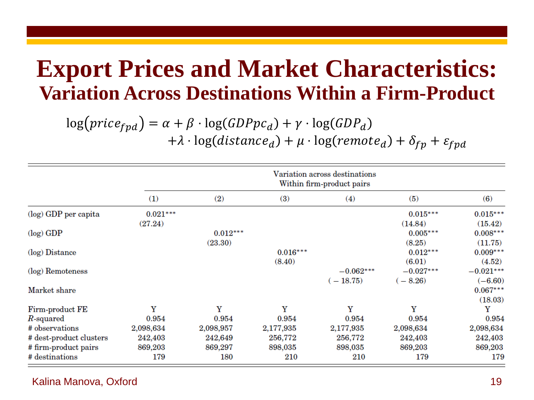## **Export Prices and Market Characteristics: Variation Across Destinations Within a Firm-Product**

 $\log(price_{fpd}) = \alpha + \beta \cdot \log(GDPpc_d) + \gamma \cdot \log(GDP_d)$ 

+ $\lambda \cdot \log(distance_d) + \mu \cdot \log(remote_d) + \delta_{fp} + \varepsilon_{fpd}$ 

|                         |            | Variation across destinations<br>Within firm-product pairs |            |             |             |             |  |  |  |
|-------------------------|------------|------------------------------------------------------------|------------|-------------|-------------|-------------|--|--|--|
|                         | (1)        | (2)                                                        | (3)        | (4)         | (5)         | (6)         |  |  |  |
| (log) GDP per capita    | $0.021***$ |                                                            |            |             | $0.015***$  | $0.015***$  |  |  |  |
|                         | (27.24)    |                                                            |            |             | (14.84)     | (15.42)     |  |  |  |
| $(log)$ GDP             |            | $0.012***$                                                 |            |             | $0.005***$  | $0.008***$  |  |  |  |
|                         |            | (23.30)                                                    |            |             | (8.25)      | (11.75)     |  |  |  |
| (log) Distance          |            |                                                            | $0.016***$ |             | $0.012***$  | $0.009***$  |  |  |  |
|                         |            |                                                            | (8.40)     |             | (6.01)      | (4.52)      |  |  |  |
| (log) Remoteness        |            |                                                            |            | $-0.062***$ | $-0.027***$ | $-0.021***$ |  |  |  |
|                         |            |                                                            |            | $(-18.75)$  | $(-8.26)$   | $(-6.60)$   |  |  |  |
| Market share            |            |                                                            |            |             |             | $0.067***$  |  |  |  |
|                         |            |                                                            |            |             |             | (18.03)     |  |  |  |
| Firm-product FE         | Y          | Y                                                          | Y          | Y           | Y           | Y           |  |  |  |
| $R$ -squared            | 0.954      | 0.954                                                      | 0.954      | 0.954       | 0.954       | 0.954       |  |  |  |
| # observations          | 2,098,634  | 2,098,957                                                  | 2,177,935  | 2,177,935   | 2,098,634   | 2,098,634   |  |  |  |
| # dest-product clusters | 242,403    | 242,649                                                    | 256,772    | 256,772     | 242,403     | 242,403     |  |  |  |
| # firm-product pairs    | 869,203    | 869,297                                                    | 898,035    | 898,035     | 869,203     | 869,203     |  |  |  |
| # destinations          | 179        | 180                                                        | 210        | 210         | 179         | 179         |  |  |  |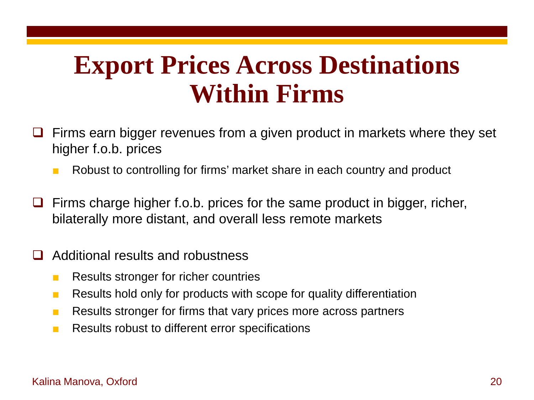## **Export Prices Across Destinations Within Firms**

- Firms earn bigger revenues from a given product in markets where they set higher f.o.b. prices
	- Robust to controlling for firms' market share in each country and product
- Firms charge higher f.o.b. prices for the same product in bigger, richer, bilaterally more distant, and overall less remote markets
- Additional results and robustness
	- Results stronger for richer countries
	- Results hold only for products with scope for quality differentiation
	- Results stronger for firms that vary prices more across partners
	- Results robust to different error specifications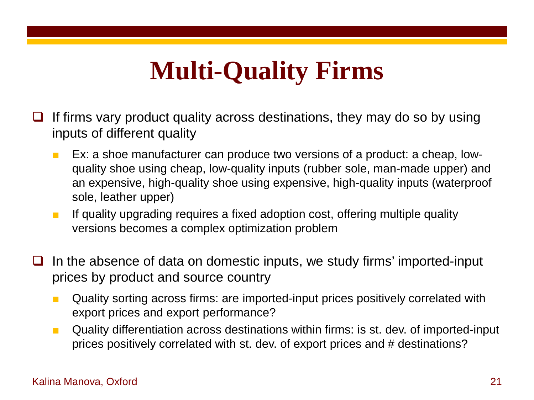# **Multi-Quality Firms**

- If firms vary product quality across destinations, they may do so by using inputs of different quality
	- Ex: a shoe manufacturer can produce two versions of a product: a cheap, lowquality shoe using cheap, low-quality inputs (rubber sole, man-made upper) and an expensive, high-quality shoe using expensive, high-quality inputs (waterproof sole, leather upper)
	- If quality upgrading requires a fixed adoption cost, offering multiple quality versions becomes a complex optimization problem
- $\Box$  In the absence of data on domestic inputs, we study firms' imported-input prices by product and source country
	- Quality sorting across firms: are imported-input prices positively correlated with export prices and export performance?
	- Quality differentiation across destinations within firms: is st. dev. of imported-input prices positively correlated with st. dev. of export prices and # destinations?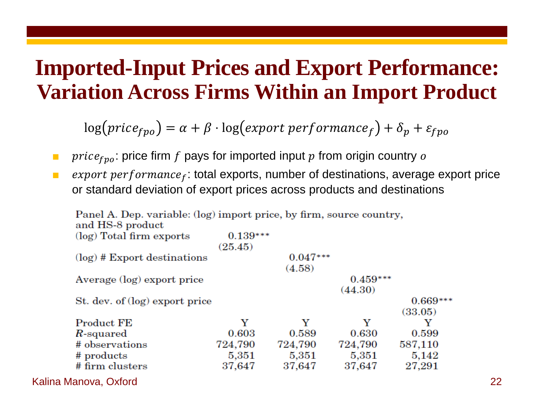## **Imported-Input Prices and Export Performance: Variation Across Firms Within an Import Product**

 $\log (price_{fpo}) = \alpha + \beta \cdot \log (export\ performance_f) + \delta_p + \varepsilon_{fpo}$ 

- **u** *price<sub>fpo</sub>*: price firm f pays for imported input p from origin country o
- $\bullet$  export performance<sub>f</sub>: total exports, number of destinations, average export price or standard deviation of export prices across products and destinations

| Panel A. Dep. variable: (log) import price, by firm, source country,<br>and HS-8 product |                       |                      |                       |                       |    |
|------------------------------------------------------------------------------------------|-----------------------|----------------------|-----------------------|-----------------------|----|
| (log) Total firm exports                                                                 | $0.139***$<br>(25.45) |                      |                       |                       |    |
| $log$ ) # Export destinations                                                            |                       | $0.047***$<br>(4.58) |                       |                       |    |
| Average (log) export price                                                               |                       |                      | $0.459***$<br>(44.30) |                       |    |
| St. dev. of (log) export price                                                           |                       |                      |                       | $0.669***$<br>(33.05) |    |
| Product FE                                                                               | Y                     | Y                    | Y                     | Y                     |    |
| R-squared                                                                                | 0.603                 | 0.589                | 0.630                 | 0.599                 |    |
| # observations                                                                           | 724,790               | 724,790              | 724,790               | 587,110               |    |
| # products                                                                               | 5,351                 | 5,351                | 5,351                 | 5,142                 |    |
| # firm clusters                                                                          | 37,647                | 37,647               | 37,647                | 27,291                |    |
| Kalina Manova, Oxford                                                                    |                       |                      |                       |                       | 22 |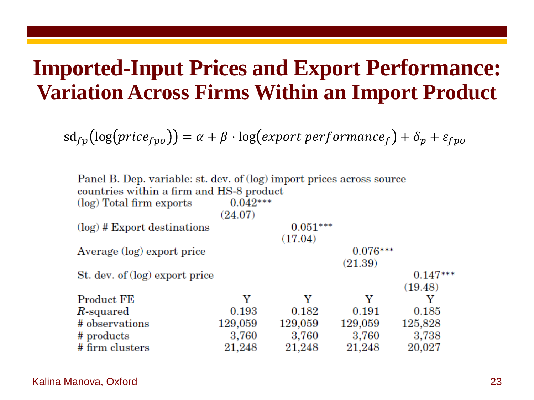## **Imported-Input Prices and Export Performance: Variation Across Firms Within an Import Product**

 $sd_{fp}(\log (price_{fpo})) = \alpha + \beta \cdot \log (export performance_f) + \delta_p + \varepsilon_{fpo}$ 

| Panel B. Dep. variable: st. dev. of (log) import prices across source |            |            |            |            |
|-----------------------------------------------------------------------|------------|------------|------------|------------|
| countries within a firm and HS-8 product                              |            |            |            |            |
| (log) Total firm exports                                              | $0.042***$ |            |            |            |
|                                                                       | (24.07)    |            |            |            |
| $log$ ) # Export destinations                                         |            | $0.051***$ |            |            |
|                                                                       |            | (17.04)    |            |            |
| Average (log) export price                                            |            |            | $0.076***$ |            |
|                                                                       |            |            | (21.39)    |            |
| St. dev. of (log) export price                                        |            |            |            | $0.147***$ |
|                                                                       |            |            |            | (19.48)    |
| <b>Product FE</b>                                                     | Y          | Y          | Y          | Y          |
| $R$ -squared                                                          | 0.193      | 0.182      | 0.191      | 0.185      |
| # observations                                                        | 129,059    | 129,059    | 129,059    | 125,828    |
| # products                                                            | 3,760      | 3,760      | 3,760      | 3,738      |
| # firm clusters                                                       | 21,248     | 21,248     | 21,248     | 20,027     |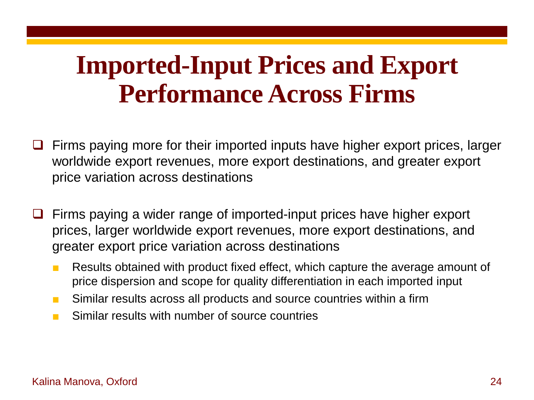## **Imported-Input Prices and Export Performance Across Firms**

- Firms paying more for their imported inputs have higher export prices, larger worldwide export revenues, more export destinations, and greater export price variation across destinations
- Firms paying a wider range of imported-input prices have higher export prices, larger worldwide export revenues, more export destinations, and greater export price variation across destinations
	- Results obtained with product fixed effect, which capture the average amount of price dispersion and scope for quality differentiation in each imported input
	- Similar results across all products and source countries within a firm
	- Similar results with number of source countries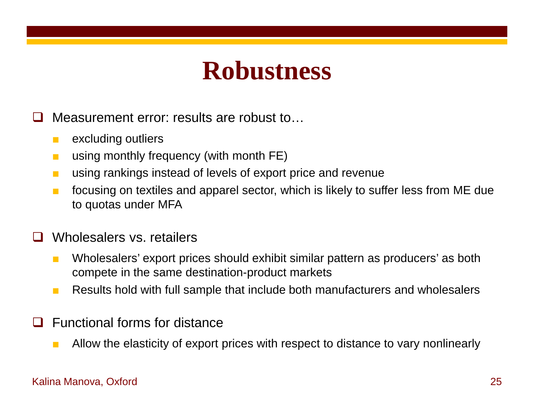## **Robustness**

Measurement error: results are robust to…

- excluding outliers
- using monthly frequency (with month FE)
- using rankings instead of levels of export price and revenue
- focusing on textiles and apparel sector, which is likely to suffer less from ME due to quotas under MFA

### Wholesalers vs. retailers

- Wholesalers' export prices should exhibit similar pattern as producers' as both compete in the same destination-product markets
- Results hold with full sample that include both manufacturers and wholesalers
- Functional forms for distance
	- Allow the elasticity of export prices with respect to distance to vary nonlinearly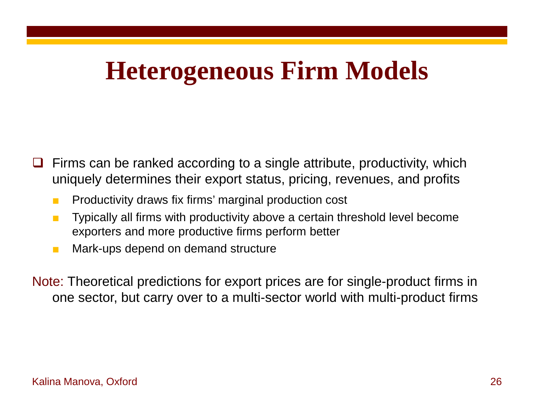## **Heterogeneous Firm Models**

- Firms can be ranked according to a single attribute, productivity, which uniquely determines their export status, pricing, revenues, and profits
	- Productivity draws fix firms' marginal production cost
	- Typically all firms with productivity above a certain threshold level become exporters and more productive firms perform better
	- Mark-ups depend on demand structure
- Note: Theoretical predictions for export prices are for single-product firms in one sector, but carry over to a multi-sector world with multi-product firms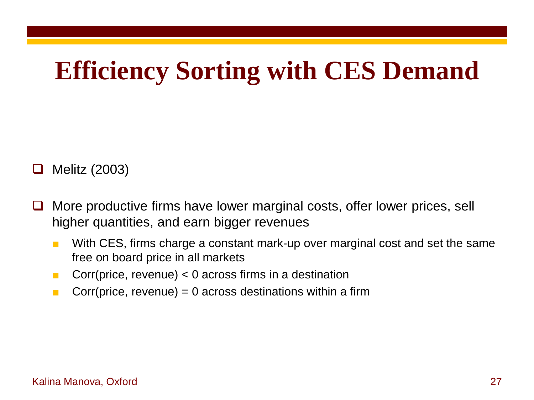# **Efficiency Sorting with CES Demand**

Melitz (2003)

- $\Box$  More productive firms have lower marginal costs, offer lower prices, sell higher quantities, and earn bigger revenues
	- With CES, firms charge a constant mark-up over marginal cost and set the same free on board price in all markets
	- Corr(price, revenue)  $<$  0 across firms in a destination
	- **Corrangeleum** Corr(price, revenue) = 0 across destinations within a firm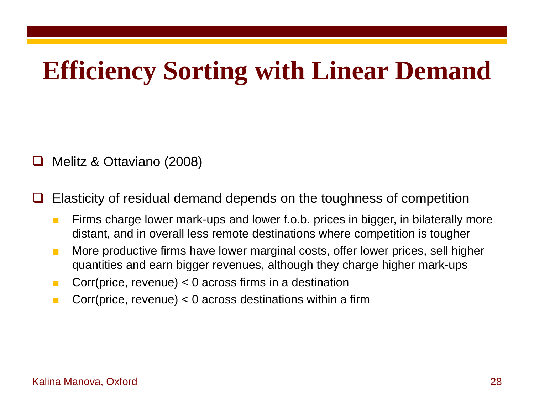## **Efficiency Sorting with Linear Demand**

### Melitz & Ottaviano (2008)

Elasticity of residual demand depends on the toughness of competition

- Firms charge lower mark-ups and lower f.o.b. prices in bigger, in bilaterally more distant, and in overall less remote destinations where competition is tougher
- More productive firms have lower marginal costs, offer lower prices, sell higher quantities and earn bigger revenues, although they charge higher mark-ups
- **Corrangeleric Corr** (price, revenue)  $< 0$  across firms in a destination
- **Corrangeleum** Corr(price, revenue)  $< 0$  across destinations within a firm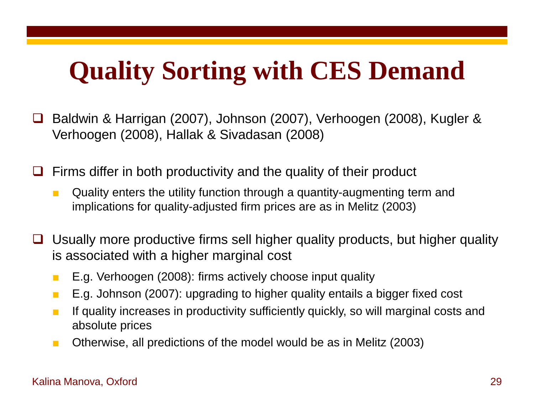# **Quality Sorting with CES Demand**

 Baldwin & Harrigan (2007), Johnson (2007), Verhoogen (2008), Kugler & Verhoogen (2008), Hallak & Sivadasan (2008)

Firms differ in both productivity and the quality of their product

- Quality enters the utility function through a quantity-augmenting term and implications for quality-adjusted firm prices are as in Melitz (2003)
- □ Usually more productive firms sell higher quality products, but higher quality is associated with a higher marginal cost
	- E.g. Verhoogen (2008): firms actively choose input quality
	- E.g. Johnson (2007): upgrading to higher quality entails a bigger fixed cost
	- If quality increases in productivity sufficiently quickly, so will marginal costs and absolute prices
	- Otherwise, all predictions of the model would be as in Melitz (2003)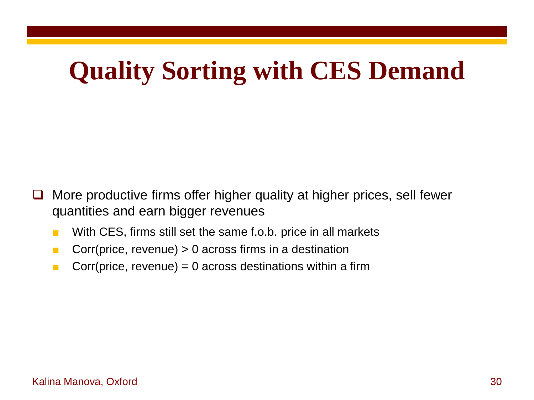# **Quality Sorting with CES Demand**

- $\Box$  More productive firms offer higher quality at higher prices, sell fewer quantities and earn bigger revenues
	- With CES, firms still set the same f.o.b. price in all markets
	- Corr(price, revenue)  $> 0$  across firms in a destination
	- Corr(price, revenue) =  $0$  across destinations within a firm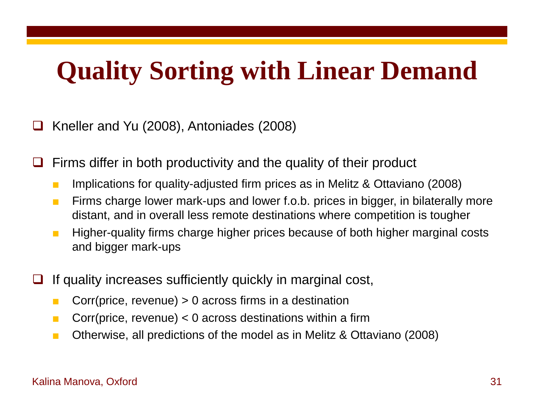# **Quality Sorting with Linear Demand**

Kneller and Yu (2008), Antoniades (2008)

Firms differ in both productivity and the quality of their product

- Implications for quality-adjusted firm prices as in Melitz & Ottaviano (2008)
- Firms charge lower mark-ups and lower f.o.b. prices in bigger, in bilaterally more distant, and in overall less remote destinations where competition is tougher
- Higher-quality firms charge higher prices because of both higher marginal costs and bigger mark-ups
- If quality increases sufficiently quickly in marginal cost,
	- **Corrangelety**  $\blacksquare$  Corr(price, revenue)  $> 0$  across firms in a destination
	- **Corrangeleum** Corr(price, revenue)  $< 0$  across destinations within a firm
	- Otherwise, all predictions of the model as in Melitz & Ottaviano (2008)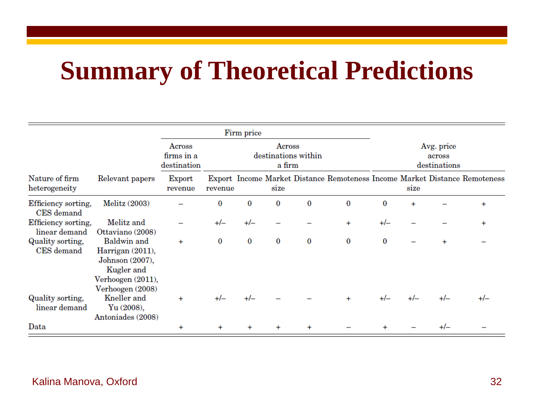## **Summary of Theoretical Predictions**

|                                      |                                                                                                                  |                                     |           | Firm price |                  |                     |           |          |           |                                      |                                                                            |
|--------------------------------------|------------------------------------------------------------------------------------------------------------------|-------------------------------------|-----------|------------|------------------|---------------------|-----------|----------|-----------|--------------------------------------|----------------------------------------------------------------------------|
|                                      |                                                                                                                  | Across<br>firms in a<br>destination |           |            | Across<br>a firm | destinations within |           |          |           | Avg. price<br>across<br>destinations |                                                                            |
| Nature of firm<br>heterogeneity      | Relevant papers                                                                                                  | Export<br>revenue                   | revenue   |            | size             |                     |           |          | size      |                                      | Export Income Market Distance Remoteness Income Market Distance Remoteness |
| Efficiency sorting,<br>CES demand    | Melitz (2003)                                                                                                    |                                     | 0         | 0          | $\bf{0}$         | $\bf{0}$            | $\bf{0}$  | $\bf{0}$ | $\ddot{}$ |                                      | $\ddot{}$                                                                  |
| Efficiency sorting,<br>linear demand | Melitz and<br>Ottaviano (2008)                                                                                   |                                     | $+/-$     | $+/-$      |                  |                     | $\ddot{}$ | $+/-$    |           |                                      |                                                                            |
| Quality sorting,<br>CES demand       | <b>Baldwin</b> and<br>Harrigan (2011),<br>Johnson (2007),<br>Kugler and<br>Verhoogen (2011),<br>Verhoogen (2008) | $+$                                 | $\bf{0}$  | $\bf{0}$   | $\bf{0}$         | $\bf{0}$            | $\bf{0}$  | 0        |           | $\ddot{}$                            |                                                                            |
| Quality sorting,<br>linear demand    | Kneller and<br>Yu(2008),<br>Antoniades (2008)                                                                    | $\ddot{}$                           | $+/-$     | $+/-$      |                  |                     | $\ddot{}$ | $+/-$    | $+/-$     | $+/-$                                | $+/-$                                                                      |
| Data                                 |                                                                                                                  | $\ddot{}$                           | $\ddot{}$ |            |                  |                     |           |          |           | $+/-$                                |                                                                            |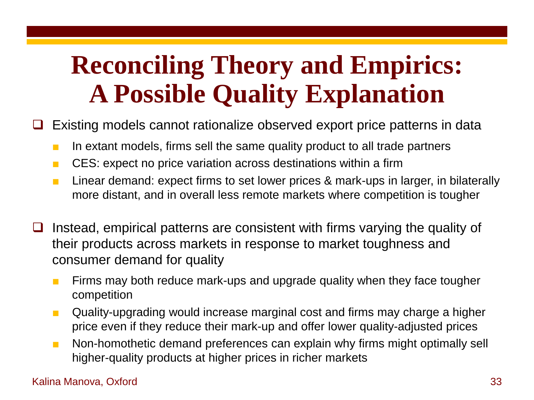# **Reconciling Theory and Empirics: A Possible Quality Explanation**

Existing models cannot rationalize observed export price patterns in data

- In extant models, firms sell the same quality product to all trade partners
- CES: expect no price variation across destinations within a firm
- Linear demand: expect firms to set lower prices & mark-ups in larger, in bilaterally more distant, and in overall less remote markets where competition is tougher
- $\Box$  Instead, empirical patterns are consistent with firms varying the quality of their products across markets in response to market toughness and consumer demand for quality
	- Firms may both reduce mark-ups and upgrade quality when they face tougher competition
	- Quality-upgrading would increase marginal cost and firms may charge a higher price even if they reduce their mark-up and offer lower quality-adjusted prices
	- Non-homothetic demand preferences can explain why firms might optimally sell higher-quality products at higher prices in richer markets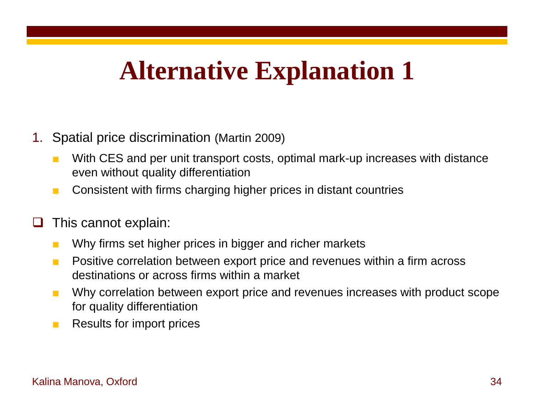### 1. Spatial price discrimination (Martin 2009)

- With CES and per unit transport costs, optimal mark-up increases with distance even without quality differentiation
- Consistent with firms charging higher prices in distant countries
- $\Box$  This cannot explain:
	- Why firms set higher prices in bigger and richer markets
	- Positive correlation between export price and revenues within a firm across destinations or across firms within a market
	- Why correlation between export price and revenues increases with product scope for quality differentiation
	- Results for import prices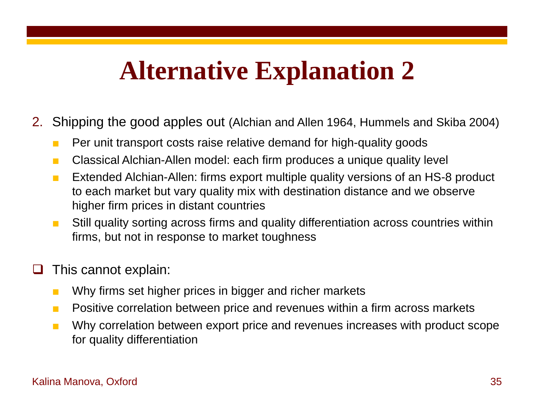- 2. Shipping the good apples out (Alchian and Allen 1964, Hummels and Skiba 2004)
	- Per unit transport costs raise relative demand for high-quality goods
	- Classical Alchian-Allen model: each firm produces a unique quality level
	- Extended Alchian-Allen: firms export multiple quality versions of an HS-8 product to each market but vary quality mix with destination distance and we observe higher firm prices in distant countries
	- Still quality sorting across firms and quality differentiation across countries within firms, but not in response to market toughness

## This cannot explain:

- Why firms set higher prices in bigger and richer markets
- Positive correlation between price and revenues within a firm across markets
- Why correlation between export price and revenues increases with product scope for quality differentiation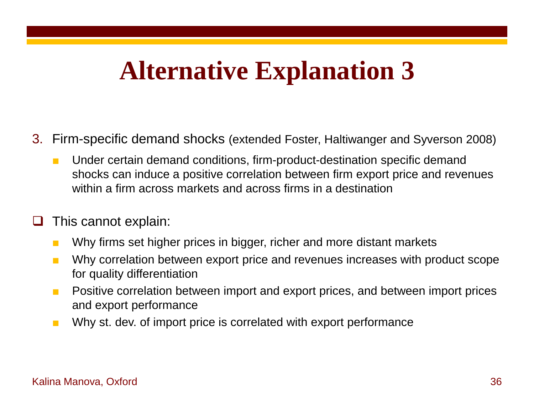- 3. Firm-specific demand shocks (extended Foster, Haltiwanger and Syverson 2008)
	- Under certain demand conditions, firm-product-destination specific demand shocks can induce a positive correlation between firm export price and revenues within a firm across markets and across firms in a destination
- This cannot explain:
	- Why firms set higher prices in bigger, richer and more distant markets
	- Why correlation between export price and revenues increases with product scope for quality differentiation
	- Positive correlation between import and export prices, and between import prices and export performance
	- Why st. dev. of import price is correlated with export performance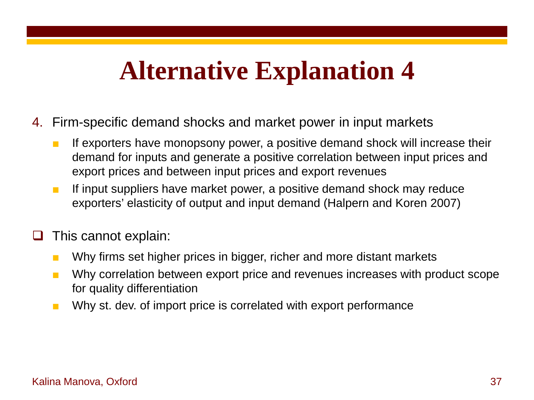- 4. Firm-specific demand shocks and market power in input markets
	- If exporters have monopsony power, a positive demand shock will increase their demand for inputs and generate a positive correlation between input prices and export prices and between input prices and export revenues
	- If input suppliers have market power, a positive demand shock may reduce exporters' elasticity of output and input demand (Halpern and Koren 2007)

### This cannot explain:

- Why firms set higher prices in bigger, richer and more distant markets
- Why correlation between export price and revenues increases with product scope for quality differentiation
- Why st. dev. of import price is correlated with export performance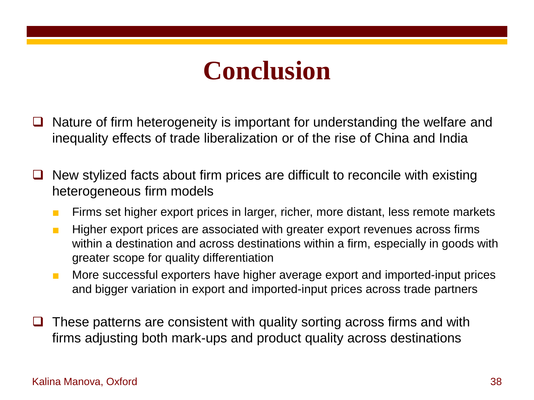## **Conclusion**

- Nature of firm heterogeneity is important for understanding the welfare and inequality effects of trade liberalization or of the rise of China and India
- $\Box$  New stylized facts about firm prices are difficult to reconcile with existing heterogeneous firm models
	- Firms set higher export prices in larger, richer, more distant, less remote markets
	- Higher export prices are associated with greater export revenues across firms within a destination and across destinations within a firm, especially in goods with greater scope for quality differentiation
	- More successful exporters have higher average export and imported-input prices and bigger variation in export and imported-input prices across trade partners
- These patterns are consistent with quality sorting across firms and with firms adjusting both mark-ups and product quality across destinations